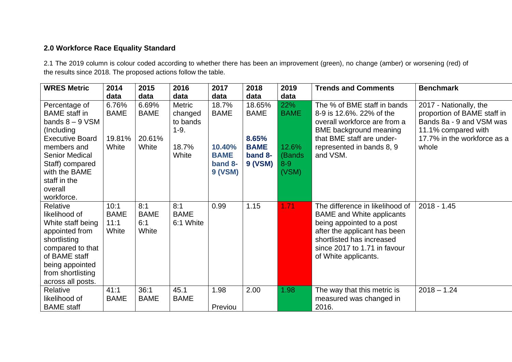## **2.0 Workforce Race Equality Standard**

2.1 The 2019 column is colour coded according to whether there has been an improvement (green), no change (amber) or worsening (red) of the results since 2018. The proposed actions follow the table.

| <b>WRES Metric</b>                                                                                                                                                                                                      | 2014                                    | 2015                                    | 2016                                                             | 2017                                                                       | 2018                                                                | 2019                                                      | <b>Trends and Comments</b>                                                                                                                                                                                            | <b>Benchmark</b>                                                                                                                                 |
|-------------------------------------------------------------------------------------------------------------------------------------------------------------------------------------------------------------------------|-----------------------------------------|-----------------------------------------|------------------------------------------------------------------|----------------------------------------------------------------------------|---------------------------------------------------------------------|-----------------------------------------------------------|-----------------------------------------------------------------------------------------------------------------------------------------------------------------------------------------------------------------------|--------------------------------------------------------------------------------------------------------------------------------------------------|
|                                                                                                                                                                                                                         | data                                    | data                                    | data                                                             | data                                                                       | data                                                                | data                                                      |                                                                                                                                                                                                                       |                                                                                                                                                  |
| Percentage of<br><b>BAME</b> staff in<br>bands $8 - 9$ VSM<br>(Including<br><b>Executive Board</b><br>members and<br><b>Senior Medical</b><br>Staff) compared<br>with the BAME<br>staff in the<br>overall<br>workforce. | 6.76%<br><b>BAME</b><br>19.81%<br>White | 6.69%<br><b>BAME</b><br>20.61%<br>White | <b>Metric</b><br>changed<br>to bands<br>$1-9.$<br>18.7%<br>White | 18.7%<br><b>BAME</b><br>10.40%<br><b>BAME</b><br>band 8-<br><b>9 (VSM)</b> | 18.65%<br><b>BAME</b><br>8.65%<br><b>BAME</b><br>band 8-<br>9 (VSM) | 22%<br><b>BAME</b><br>12.6%<br>(Bands<br>$8 - 9$<br>(VSM) | The % of BME staff in bands<br>8-9 is 12.6%. 22% of the<br>overall workforce are from a<br><b>BME</b> background meaning<br>that BME staff are under-<br>represented in bands 8, 9<br>and VSM.                        | 2017 - Nationally, the<br>proportion of BAME staff in<br>Bands 8a - 9 and VSM was<br>11.1% compared with<br>17.7% in the workforce as a<br>whole |
| Relative<br>likelihood of<br>White staff being<br>appointed from<br>shortlisting<br>compared to that<br>of BAME staff<br>being appointed<br>from shortlisting<br>across all posts.                                      | 10:1<br><b>BAME</b><br>11:1<br>White    | 8:1<br><b>BAME</b><br>6:1<br>White      | 8:1<br><b>BAME</b><br>6:1 White                                  | 0.99                                                                       | 1.15                                                                | 1.71                                                      | The difference in likelihood of<br><b>BAME</b> and White applicants<br>being appointed to a post<br>after the applicant has been<br>shortlisted has increased<br>since 2017 to 1.71 in favour<br>of White applicants. | $2018 - 1.45$                                                                                                                                    |
| Relative<br>likelihood of<br><b>BAME</b> staff                                                                                                                                                                          | 41:1<br><b>BAME</b>                     | 36:1<br><b>BAME</b>                     | 45.1<br><b>BAME</b>                                              | 1.98<br>Previou                                                            | 2.00                                                                | 1.98                                                      | The way that this metric is<br>measured was changed in<br>2016.                                                                                                                                                       | $2018 - 1.24$                                                                                                                                    |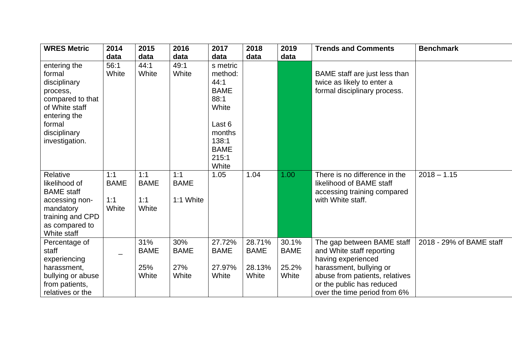| <b>WRES Metric</b>                                                                                                                                   | 2014                               | 2015                               | 2016                               | 2017                                                                                                                      | 2018                                     | 2019                                   | <b>Trends and Comments</b>                                                                                                                                                                              | <b>Benchmark</b>         |
|------------------------------------------------------------------------------------------------------------------------------------------------------|------------------------------------|------------------------------------|------------------------------------|---------------------------------------------------------------------------------------------------------------------------|------------------------------------------|----------------------------------------|---------------------------------------------------------------------------------------------------------------------------------------------------------------------------------------------------------|--------------------------|
|                                                                                                                                                      | data                               | data                               | data                               | data                                                                                                                      | data                                     | data                                   |                                                                                                                                                                                                         |                          |
| entering the<br>formal<br>disciplinary<br>process,<br>compared to that<br>of White staff<br>entering the<br>formal<br>disciplinary<br>investigation. | 56:1<br>White                      | 44:1<br>White                      | 49:1<br>White                      | s metric<br>method:<br>44:1<br><b>BAME</b><br>88:1<br>White<br>Last 6<br>months<br>138:1<br><b>BAME</b><br>215:1<br>White |                                          |                                        | BAME staff are just less than<br>twice as likely to enter a<br>formal disciplinary process.                                                                                                             |                          |
| Relative<br>likelihood of<br><b>BAME</b> staff<br>accessing non-<br>mandatory<br>training and CPD<br>as compared to<br>White staff                   | 1:1<br><b>BAME</b><br>1:1<br>White | 1:1<br><b>BAME</b><br>1:1<br>White | 1:1<br><b>BAME</b><br>1:1 White    | 1.05                                                                                                                      | 1.04                                     | 1.00                                   | There is no difference in the<br>likelihood of BAME staff<br>accessing training compared<br>with White staff.                                                                                           | $2018 - 1.15$            |
| Percentage of<br>staff<br>experiencing<br>harassment,<br>bullying or abuse<br>from patients,<br>relatives or the                                     |                                    | 31%<br><b>BAME</b><br>25%<br>White | 30%<br><b>BAME</b><br>27%<br>White | 27.72%<br><b>BAME</b><br>27.97%<br>White                                                                                  | 28.71%<br><b>BAME</b><br>28.13%<br>White | 30.1%<br><b>BAME</b><br>25.2%<br>White | The gap between BAME staff<br>and White staff reporting<br>having experienced<br>harassment, bullying or<br>abuse from patients, relatives<br>or the public has reduced<br>over the time period from 6% | 2018 - 29% of BAME staff |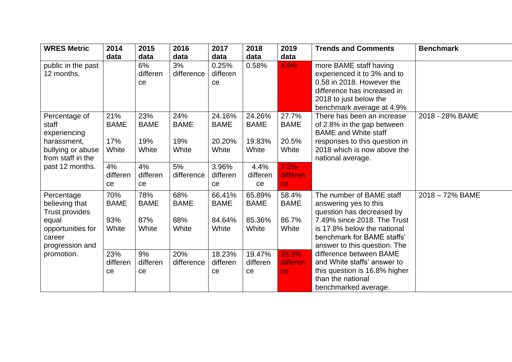| <b>WRES Metric</b>    | 2014        | 2015        | 2016        | 2017        | 2018        | 2019        | <b>Trends and Comments</b>                             | <b>Benchmark</b> |
|-----------------------|-------------|-------------|-------------|-------------|-------------|-------------|--------------------------------------------------------|------------------|
|                       | data        | data        | data        | data        | data        | data        |                                                        |                  |
| public in the past    |             | 6%          | 3%          | 0.25%       | 0.58%       | 4.9%        | more BAME staff having                                 |                  |
| 12 months.            |             | differen    | difference  | differen    |             |             | experienced it to 3% and to                            |                  |
|                       |             | ce          |             | ce          |             |             | 0.58 in 2018. However the                              |                  |
|                       |             |             |             |             |             |             | difference has increased in                            |                  |
|                       |             |             |             |             |             |             | 2018 to just below the                                 |                  |
|                       |             |             |             |             |             |             | benchmark average at 4.9%                              |                  |
| Percentage of         | 21%         | 23%         | 24%         | 24.16%      | 24.26%      | 27.7%       | There has been an increase                             | 2018 - 28% BAME  |
| staff                 | <b>BAME</b> | <b>BAME</b> | <b>BAME</b> | <b>BAME</b> | <b>BAME</b> | <b>BAME</b> | of 2.8% in the gap between                             |                  |
| experiencing          |             |             |             |             |             |             | <b>BAME</b> and White staff                            |                  |
| harassment,           | 17%         | 19%         | 19%         | 20.20%      | 19.83%      | 20.5%       | responses to this question in                          |                  |
| bullying or abuse     | White       | White       | White       | White       | White       | White       | 2018 which is now above the                            |                  |
| from staff in the     |             |             |             |             |             |             | national average.                                      |                  |
| past 12 months.       | 4%          | 4%          | 5%          | 3.96%       | 4.4%        | 7.2%        |                                                        |                  |
|                       | differen    | differen    | difference  | differen    | differen    | differen    |                                                        |                  |
|                       | <b>ce</b>   | ce          |             | <b>ce</b>   | ce          | ce          |                                                        |                  |
| Percentage            | 70%         | 78%         | 68%         | 66.41%      | 65.89%      | 58.4%       | The number of BAME staff                               | 2018 - 72% BAME  |
| believing that        | <b>BAME</b> | <b>BAME</b> | <b>BAME</b> | <b>BAME</b> | <b>BAME</b> | <b>BAME</b> | answering yes to this                                  |                  |
| <b>Trust provides</b> |             |             |             |             |             |             | question has decreased by                              |                  |
| equal                 | 93%         | 87%         | 88%         | 84.64%      | 85.36%      | 86.7%       | 7.49% since 2018. The Trust                            |                  |
| opportunities for     | White       | White       | White       | White       | White       | White       | is 17.8% below the national                            |                  |
| career                |             |             |             |             |             |             | benchmark for BAME staffs'                             |                  |
| progression and       |             |             |             |             |             |             | answer to this question. The                           |                  |
| promotion.            | 23%         | 9%          | 20%         | 18.23%      | 19.47%      | 28.3%       | difference between BAME<br>and White staffs' answer to |                  |
|                       | differen    | differen    | difference  | differen    | differen    | differen    |                                                        |                  |
|                       | ce          | ce          |             | ce          | ce          | ce.         | this question is 16.8% higher<br>than the national     |                  |
|                       |             |             |             |             |             |             |                                                        |                  |
|                       |             |             |             |             |             |             | benchmarked average.                                   |                  |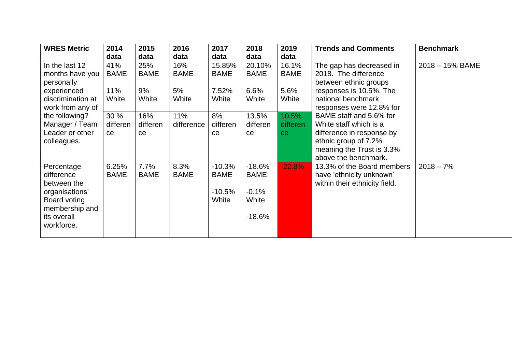| <b>WRES Metric</b> | 2014        | 2015        | 2016        | 2017        | 2018        | 2019        | <b>Trends and Comments</b>    | <b>Benchmark</b> |
|--------------------|-------------|-------------|-------------|-------------|-------------|-------------|-------------------------------|------------------|
|                    | data        | data        | data        | data        | data        | data        |                               |                  |
| In the last 12     | 41%         | 25%         | 16%         | 15.85%      | 20.10%      | 16.1%       | The gap has decreased in      | 2018 - 15% BAME  |
| months have you    | <b>BAME</b> | <b>BAME</b> | <b>BAME</b> | <b>BAME</b> | <b>BAME</b> | <b>BAME</b> | 2018. The difference          |                  |
| personally         |             |             |             |             |             |             | between ethnic groups         |                  |
| experienced        | 11%         | 9%          | 5%          | 7.52%       | 6.6%        | 5.6%        | responses is 10.5%. The       |                  |
| discrimination at  | White       | White       | White       | White       | White       | White       | national benchmark            |                  |
| work from any of   |             |             |             |             |             |             | responses were 12.8% for      |                  |
| the following?     | 30 %        | 16%         | 11%         | 8%          | 13.5%       | 10.5%       | BAME staff and 5.6% for       |                  |
| Manager / Team     | differen    | differen    | difference  | differen    | differen    | differen    | White staff which is a        |                  |
| Leader or other    | <b>ce</b>   | ce          |             | ce          | ce          | ce.         | difference in response by     |                  |
| colleagues.        |             |             |             |             |             |             | ethnic group of 7.2%          |                  |
|                    |             |             |             |             |             |             | meaning the Trust is 3.3%     |                  |
|                    |             |             |             |             |             |             | above the benchmark.          |                  |
| Percentage         | 6.25%       | 7.7%        | 8.3%        | $-10.3%$    | $-18.6%$    | $-22.8%$    | 13.3% of the Board members    | $2018 - 7%$      |
| difference         | <b>BAME</b> | <b>BAME</b> | <b>BAME</b> | <b>BAME</b> | <b>BAME</b> |             | have 'ethnicity unknown'      |                  |
| between the        |             |             |             |             |             |             | within their ethnicity field. |                  |
| organisations'     |             |             |             | $-10.5\%$   | $-0.1%$     |             |                               |                  |
| Board voting       |             |             |             | White       | White       |             |                               |                  |
| membership and     |             |             |             |             |             |             |                               |                  |
| its overall        |             |             |             |             | $-18.6%$    |             |                               |                  |
| workforce.         |             |             |             |             |             |             |                               |                  |
|                    |             |             |             |             |             |             |                               |                  |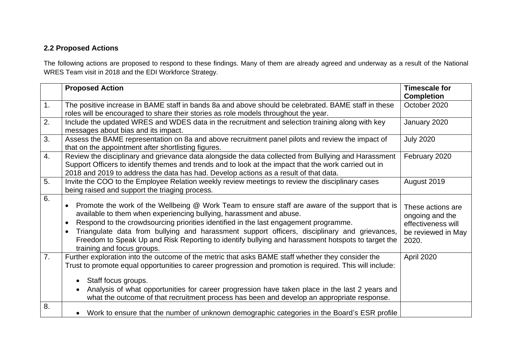## **2.2 Proposed Actions**

The following actions are proposed to respond to these findings. Many of them are already agreed and underway as a result of the National WRES Team visit in 2018 and the EDI Workforce Strategy.

|    | <b>Proposed Action</b>                                                                                                                                                                                                                                                                                                                                                                                                                                                                           | <b>Timescale for</b>                                                                      |
|----|--------------------------------------------------------------------------------------------------------------------------------------------------------------------------------------------------------------------------------------------------------------------------------------------------------------------------------------------------------------------------------------------------------------------------------------------------------------------------------------------------|-------------------------------------------------------------------------------------------|
|    |                                                                                                                                                                                                                                                                                                                                                                                                                                                                                                  | <b>Completion</b>                                                                         |
| 1. | The positive increase in BAME staff in bands 8a and above should be celebrated. BAME staff in these                                                                                                                                                                                                                                                                                                                                                                                              | October 2020                                                                              |
|    | roles will be encouraged to share their stories as role models throughout the year.                                                                                                                                                                                                                                                                                                                                                                                                              |                                                                                           |
| 2. | Include the updated WRES and WDES data in the recruitment and selection training along with key<br>messages about bias and its impact.                                                                                                                                                                                                                                                                                                                                                           | January 2020                                                                              |
| 3. | Assess the BAME representation on 8a and above recruitment panel pilots and review the impact of                                                                                                                                                                                                                                                                                                                                                                                                 | <b>July 2020</b>                                                                          |
|    | that on the appointment after shortlisting figures.                                                                                                                                                                                                                                                                                                                                                                                                                                              |                                                                                           |
| 4. | Review the disciplinary and grievance data alongside the data collected from Bullying and Harassment<br>Support Officers to identify themes and trends and to look at the impact that the work carried out in<br>2018 and 2019 to address the data has had. Develop actions as a result of that data.                                                                                                                                                                                            | February 2020                                                                             |
| 5. | Invite the COO to the Employee Relation weekly review meetings to review the disciplinary cases<br>being raised and support the triaging process.                                                                                                                                                                                                                                                                                                                                                | August 2019                                                                               |
| 6. | Promote the work of the Wellbeing @ Work Team to ensure staff are aware of the support that is<br>available to them when experiencing bullying, harassment and abuse.<br>Respond to the crowdsourcing priorities identified in the last engagement programme.<br>Triangulate data from bullying and harassment support officers, disciplinary and grievances,<br>Freedom to Speak Up and Risk Reporting to identify bullying and harassment hotspots to target the<br>training and focus groups. | These actions are<br>ongoing and the<br>effectiveness will<br>be reviewed in May<br>2020. |
| 7. | Further exploration into the outcome of the metric that asks BAME staff whether they consider the<br>Trust to promote equal opportunities to career progression and promotion is required. This will include:<br>Staff focus groups.<br>Analysis of what opportunities for career progression have taken place in the last 2 years and<br>what the outcome of that recruitment process has been and develop an appropriate response.                                                             | April 2020                                                                                |
| 8. | Work to ensure that the number of unknown demographic categories in the Board's ESR profile                                                                                                                                                                                                                                                                                                                                                                                                      |                                                                                           |